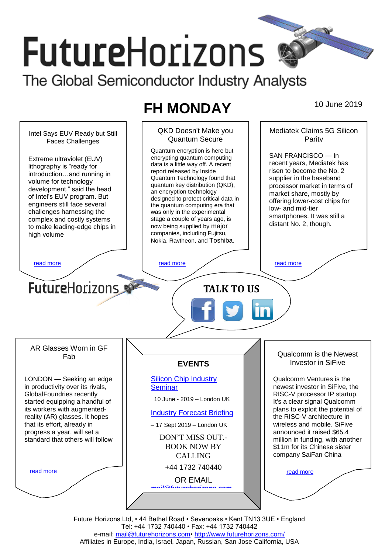# **FutureHorizons** The Global Semiconductor Industry Analysts

## **FH MONDAY** 10 June 2019



Future Horizons Ltd, • 44 Bethel Road • Sevenoaks • Kent TN13 3UE • England Tel: +44 1732 740440 • Fax: +44 1732 740442 e-mail: [mail@futurehorizons.com•](../FH%20Monday%20-%202017/mail@futurehorizons.com)<http://www.futurehorizons.com/> Affiliates in Europe, India, Israel, Japan, Russian, San Jose California, USA